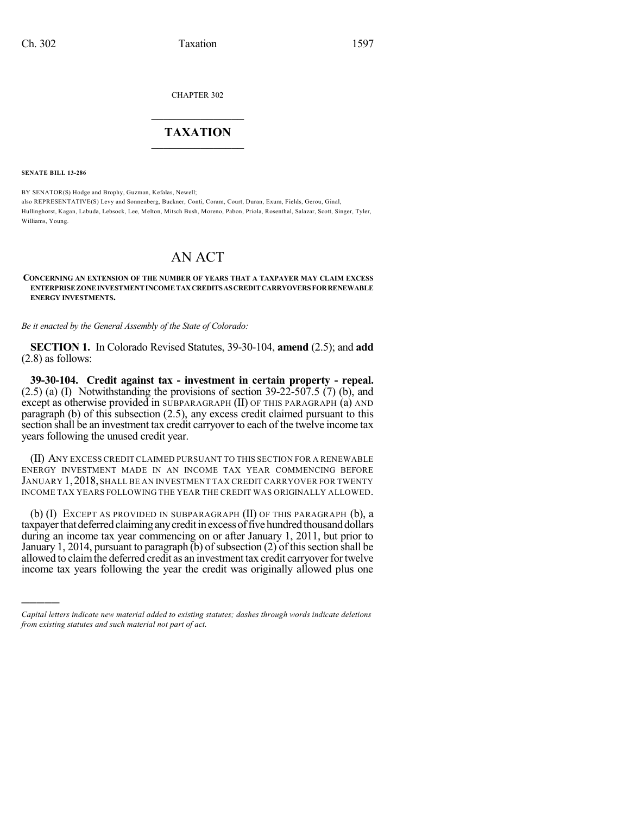CHAPTER 302

## $\mathcal{L}_\text{max}$  . The set of the set of the set of the set of the set of the set of the set of the set of the set of the set of the set of the set of the set of the set of the set of the set of the set of the set of the set **TAXATION**  $\_$

**SENATE BILL 13-286**

)))))

BY SENATOR(S) Hodge and Brophy, Guzman, Kefalas, Newell; also REPRESENTATIVE(S) Levy and Sonnenberg, Buckner, Conti, Coram, Court, Duran, Exum, Fields, Gerou, Ginal, Hullinghorst, Kagan, Labuda, Lebsock, Lee, Melton, Mitsch Bush, Moreno, Pabon, Priola, Rosenthal, Salazar, Scott, Singer, Tyler, Williams, Young.

## AN ACT

## **CONCERNING AN EXTENSION OF THE NUMBER OF YEARS THAT A TAXPAYER MAY CLAIM EXCESS ENTERPRISEZONE INVESTMENT INCOME TAXCREDITSASCREDITCARRYOVERS FORRENEWABLE ENERGY INVESTMENTS.**

*Be it enacted by the General Assembly of the State of Colorado:*

**SECTION 1.** In Colorado Revised Statutes, 39-30-104, **amend** (2.5); and **add** (2.8) as follows:

**39-30-104. Credit against tax - investment in certain property - repeal.**  $(2.5)$  (a) (I) Notwithstanding the provisions of section 39-22-507.5 (7) (b), and except as otherwise provided in SUBPARAGRAPH (II) OF THIS PARAGRAPH (a) AND paragraph (b) of this subsection (2.5), any excess credit claimed pursuant to this section shall be an investment tax credit carryover to each of the twelve income tax years following the unused credit year.

(II) ANY EXCESS CREDIT CLAIMED PURSUANT TO THIS SECTION FOR A RENEWABLE ENERGY INVESTMENT MADE IN AN INCOME TAX YEAR COMMENCING BEFORE JANUARY 1,2018, SHALL BE AN INVESTMENT TAX CREDIT CARRYOVER FOR TWENTY INCOME TAX YEARS FOLLOWING THE YEAR THE CREDIT WAS ORIGINALLY ALLOWED.

(b) (I) EXCEPT AS PROVIDED IN SUBPARAGRAPH (II) OF THIS PARAGRAPH (b), a taxpayer that deferred claiming any credit in excess of five hundred thousand dollars during an income tax year commencing on or after January 1, 2011, but prior to January 1, 2014, pursuant to paragraph  $(b)$  of subsection  $(2)$  of this section shall be allowed to claim the deferred credit as an investment tax credit carryover for twelve income tax years following the year the credit was originally allowed plus one

*Capital letters indicate new material added to existing statutes; dashes through words indicate deletions from existing statutes and such material not part of act.*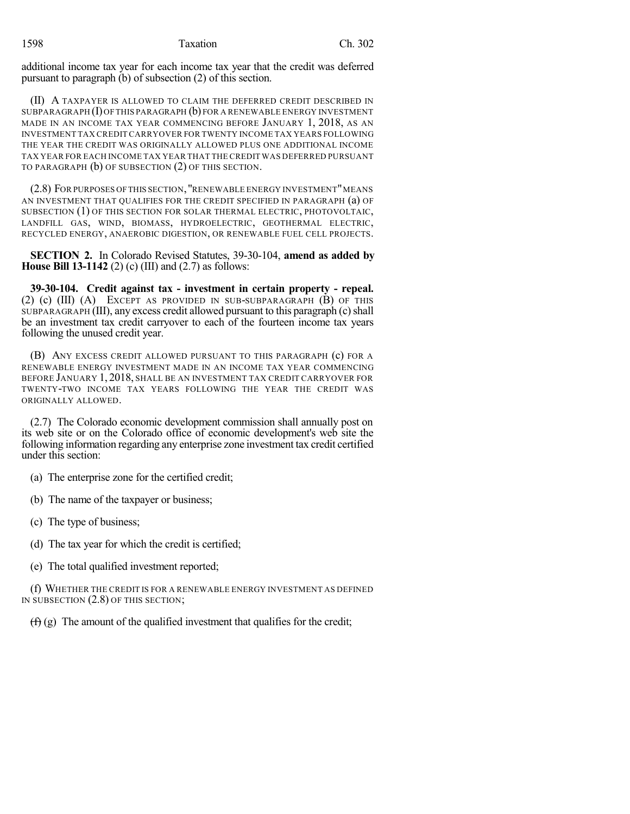additional income tax year for each income tax year that the credit was deferred pursuant to paragraph (b) of subsection (2) of this section.

(II) A TAXPAYER IS ALLOWED TO CLAIM THE DEFERRED CREDIT DESCRIBED IN SUBPARAGRAPH $(I)$ OF THIS PARAGRAPH $(b)$  FOR A RENEWABLE ENERGY INVESTMENT MADE IN AN INCOME TAX YEAR COMMENCING BEFORE JANUARY 1, 2018, AS AN INVESTMENT TAX CREDITCARRYOVER FOR TWENTY INCOME TAX YEARS FOLLOWING THE YEAR THE CREDIT WAS ORIGINALLY ALLOWED PLUS ONE ADDITIONAL INCOME TAX YEAR FOR EACH INCOME TAX YEAR THAT THE CREDIT WAS DEFERRED PURSUANT TO PARAGRAPH (b) OF SUBSECTION (2) OF THIS SECTION.

(2.8) FOR PURPOSES OFTHIS SECTION,"RENEWABLE ENERGY INVESTMENT"MEANS AN INVESTMENT THAT QUALIFIES FOR THE CREDIT SPECIFIED IN PARAGRAPH (a) OF SUBSECTION (1) OF THIS SECTION FOR SOLAR THERMAL ELECTRIC, PHOTOVOLTAIC, LANDFILL GAS, WIND, BIOMASS, HYDROELECTRIC, GEOTHERMAL ELECTRIC, RECYCLED ENERGY, ANAEROBIC DIGESTION, OR RENEWABLE FUEL CELL PROJECTS.

**SECTION 2.** In Colorado Revised Statutes, 39-30-104, **amend as added by House Bill 13-1142** (2) (c) (III) and (2.7) as follows:

**39-30-104. Credit against tax - investment in certain property - repeal.** (2) (c) (III) (A) EXCEPT AS PROVIDED IN SUB-SUBPARAGRAPH (B) OF THIS SUBPARAGRAPH (III), any excess credit allowed pursuant to this paragraph (c) shall be an investment tax credit carryover to each of the fourteen income tax years following the unused credit year.

(B) ANY EXCESS CREDIT ALLOWED PURSUANT TO THIS PARAGRAPH (c) FOR A RENEWABLE ENERGY INVESTMENT MADE IN AN INCOME TAX YEAR COMMENCING BEFORE JANUARY 1, 2018, SHALL BE AN INVESTMENT TAX CREDIT CARRYOVER FOR TWENTY-TWO INCOME TAX YEARS FOLLOWING THE YEAR THE CREDIT WAS ORIGINALLY ALLOWED.

(2.7) The Colorado economic development commission shall annually post on its web site or on the Colorado office of economic development's web site the following information regarding any enterprise zone investment tax credit certified under this section:

(a) The enterprise zone for the certified credit;

(b) The name of the taxpayer or business;

(c) The type of business;

(d) The tax year for which the credit is certified;

(e) The total qualified investment reported;

(f) WHETHER THE CREDIT IS FOR A RENEWABLE ENERGY INVESTMENT AS DEFINED IN SUBSECTION (2.8) OF THIS SECTION;

 $(f)$  (g) The amount of the qualified investment that qualifies for the credit;